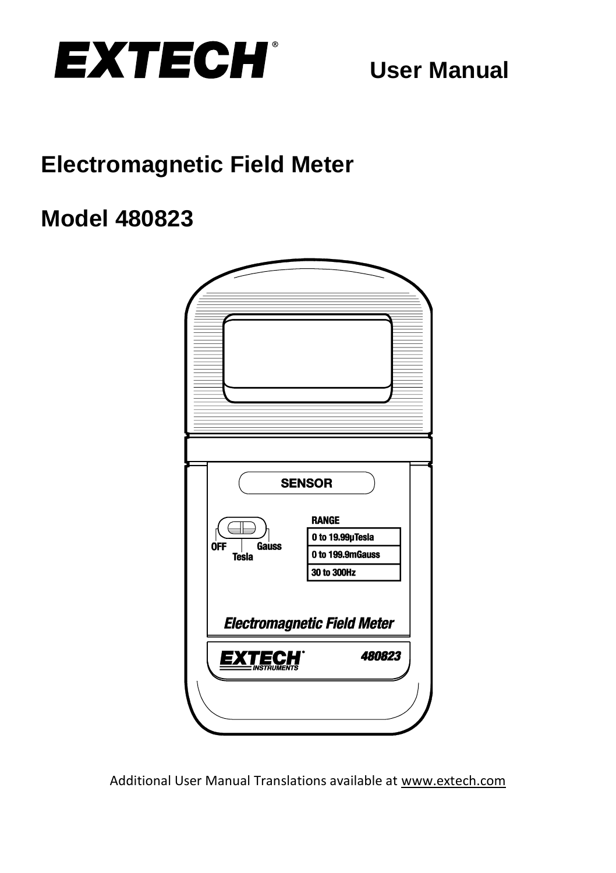

# **Electromagnetic Field Meter**

## **Model 480823**



Additional User Manual Translations available at [www.extech.com](http://www.extech.com/)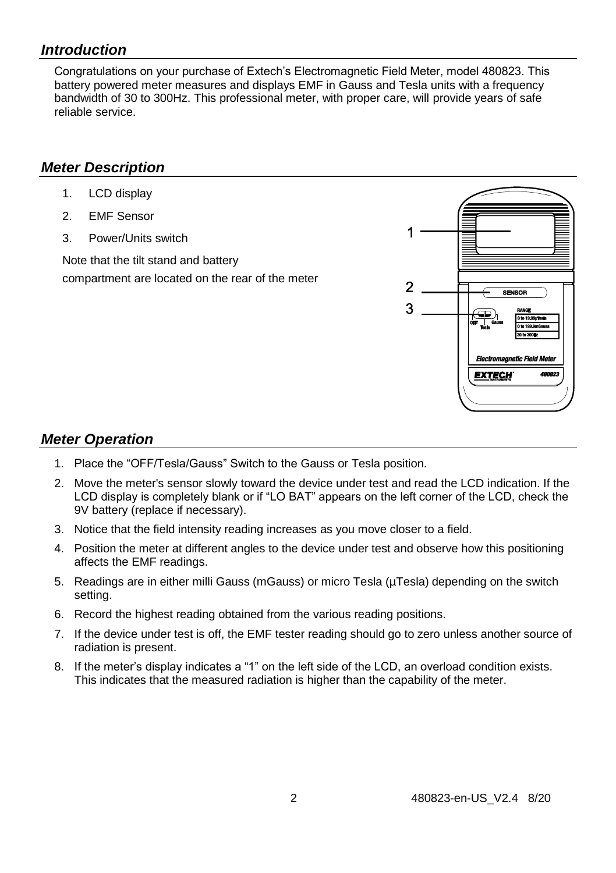#### *Introduction*

Congratulations on your purchase of Extech's Electromagnetic Field Meter, model 480823. This battery powered meter measures and displays EMF in Gauss and Tesla units with a frequency bandwidth of 30 to 300Hz. This professional meter, with proper care, will provide years of safe reliable service.

#### *Meter Description*

- 1. LCD display
- 2. EMF Sensor
- 3. Power/Units switch

Note that the tilt stand and battery compartment are located on the rear of the meter



#### *Meter Operation*

- 1. Place the "OFF/Tesla/Gauss" Switch to the Gauss or Tesla position.
- 2. Move the meter's sensor slowly toward the device under test and read the LCD indication. If the LCD display is completely blank or if "LO BAT" appears on the left corner of the LCD, check the 9V battery (replace if necessary).
- 3. Notice that the field intensity reading increases as you move closer to a field.
- 4. Position the meter at different angles to the device under test and observe how this positioning affects the EMF readings.
- 5. Readings are in either milli Gauss (mGauss) or micro Tesla (µTesla) depending on the switch setting.
- 6. Record the highest reading obtained from the various reading positions.
- 7. If the device under test is off, the EMF tester reading should go to zero unless another source of radiation is present.
- 8. If the meter's display indicates a "1" on the left side of the LCD, an overload condition exists. This indicates that the measured radiation is higher than the capability of the meter.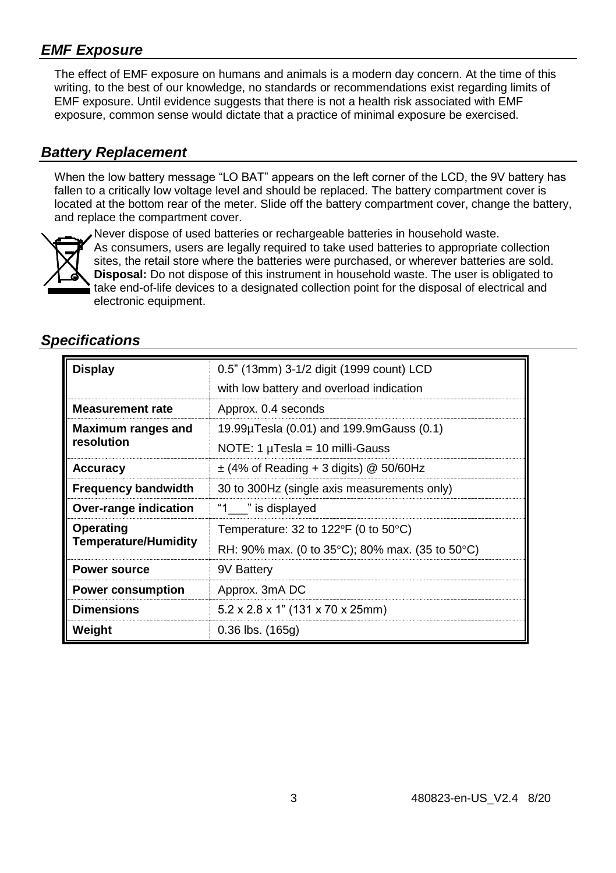#### *EMF Exposure*

The effect of EMF exposure on humans and animals is a modern day concern. At the time of this writing, to the best of our knowledge, no standards or recommendations exist regarding limits of EMF exposure. Until evidence suggests that there is not a health risk associated with EMF exposure, common sense would dictate that a practice of minimal exposure be exercised.

#### *Battery Replacement*

When the low battery message "LO BAT" appears on the left corner of the LCD, the 9V battery has fallen to a critically low voltage level and should be replaced. The battery compartment cover is located at the bottom rear of the meter. Slide off the battery compartment cover, change the battery, and replace the compartment cover.



Never dispose of used batteries or rechargeable batteries in household waste. As consumers, users are legally required to take used batteries to appropriate collection sites, the retail store where the batteries were purchased, or wherever batteries are sold. **Disposal:** Do not dispose of this instrument in household waste. The user is obligated to take end-of-life devices to a designated collection point for the disposal of electrical and electronic equipment.

#### *Specifications*

| <b>Display</b>                           | 0.5" (13mm) 3-1/2 digit (1999 count) LCD<br>with low battery and overload indication |
|------------------------------------------|--------------------------------------------------------------------------------------|
|                                          |                                                                                      |
| <b>Measurement rate</b>                  | Approx. 0.4 seconds                                                                  |
| Maximum ranges and<br>resolution         | 19.99µTesla (0.01) and 199.9mGauss (0.1)                                             |
|                                          | NOTE: 1 $\mu$ Tesla = 10 milli-Gauss                                                 |
| Accuracy                                 | $\pm$ (4% of Reading + 3 digits) @ 50/60Hz                                           |
| <b>Frequency bandwidth</b>               | 30 to 300Hz (single axis measurements only)                                          |
| Over-range indication                    | "1 " is displayed                                                                    |
| Operating<br><b>Temperature/Humidity</b> | Temperature: 32 to 122 $F$ (0 to 50 $C$ )                                            |
|                                          | RH: 90% max. (0 to 35 $^{\circ}$ C); 80% max. (35 to 50 $^{\circ}$ C)                |
| <b>Power source</b>                      | 9V Battery                                                                           |
| <b>Power consumption</b>                 | Approx. 3mA DC                                                                       |
| <b>Dimensions</b>                        | $5.2 \times 2.8 \times 1$ " (131 x 70 x 25mm)                                        |
| Weight                                   | $0.36$ lbs. $(165g)$                                                                 |